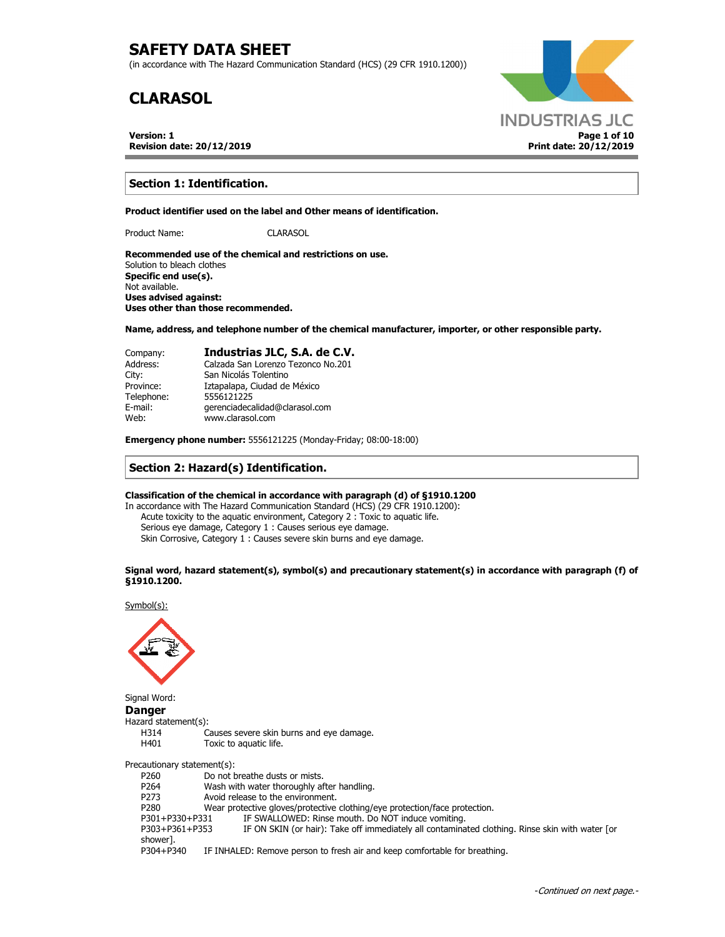(in accordance with The Hazard Communication Standard (HCS) (29 CFR 1910.1200))

# **CLARASOL**

**Version: 1 Revision date: 20/12/2019**



## **Section 1: Identification.**

**Product identifier used on the label and Other means of identification.** 

Product Name: CLARASOL

**Recommended use of the chemical and restrictions on use.**  Solution to bleach clothes **Specific end use(s).**  Not available.

**Uses advised against: Uses other than those recommended.**

**Name, address, and telephone number of the chemical manufacturer, importer, or other responsible party.** 

| Company:   | Industrias JLC, S.A. de C.V.       |
|------------|------------------------------------|
| Address:   | Calzada San Lorenzo Tezonco No.201 |
| City:      | San Nicolás Tolentino              |
| Province:  | Iztapalapa, Ciudad de México       |
| Telephone: | 5556121225                         |
| E-mail:    | gerenciadecalidad@clarasol.com     |
| Web:       | www.clarasol.com                   |

**Emergency phone number:** 5556121225 (Monday-Friday; 08:00-18:00)

## **Section 2: Hazard(s) Identification.**

### **Classification of the chemical in accordance with paragraph (d) of §1910.1200**

In accordance with The Hazard Communication Standard (HCS) (29 CFR 1910.1200): Acute toxicity to the aquatic environment, Category 2 : Toxic to aquatic life. Serious eye damage, Category 1 : Causes serious eye damage. Skin Corrosive, Category 1 : Causes severe skin burns and eye damage.

#### **Signal word, hazard statement(s), symbol(s) and precautionary statement(s) in accordance with paragraph (f) of §1910.1200.**

Symbol(s):



Signal Word: **Danger** 

Hazard statement(s): H314 Causes severe skin burns and eye damage.<br>H401 Toxic to aquatic life. Toxic to aquatic life. Precautionary statement(s): P260 Do not breathe dusts or mists. P264 Wash with water thoroughly after handling. P273 Avoid release to the environment. P280 Wear protective gloves/protective clothing/eye protection/face protection.<br>P301+P330+P331 IF SWALLOWED: Rinse mouth. Do NOT induce vomiting. P301+P330+P331 IF SWALLOWED: Rinse mouth. Do NOT induce vomiting.<br>P303+P361+P353 IF ON SKIN (or hair): Take off immediately all contamina IF ON SKIN (or hair): Take off immediately all contaminated clothing. Rinse skin with water [or shower]. P304+P340 IF INHALED: Remove person to fresh air and keep comfortable for breathing.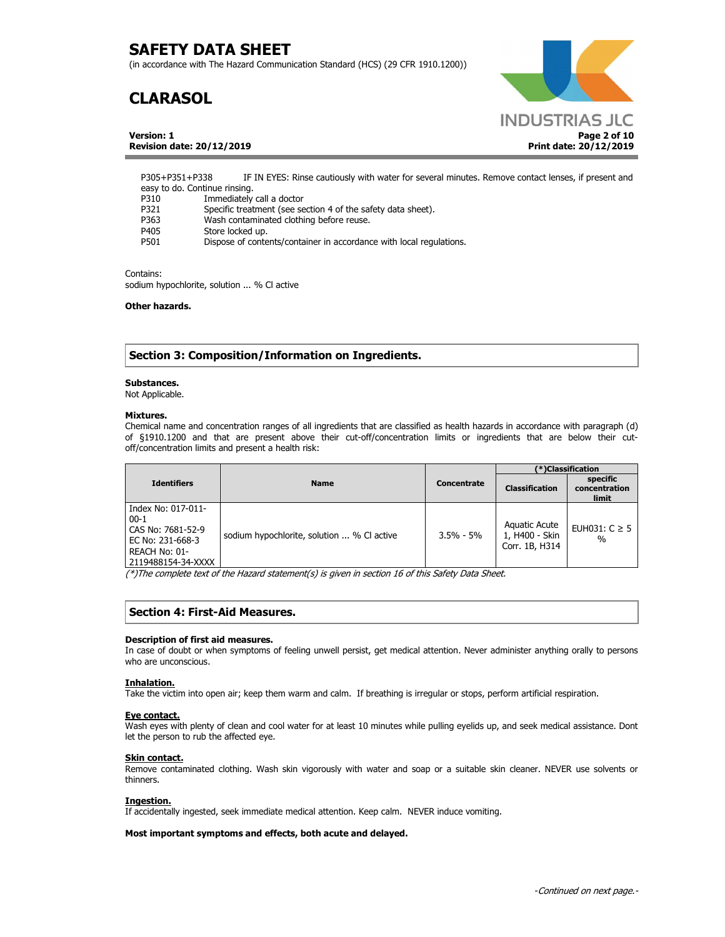(in accordance with The Hazard Communication Standard (HCS) (29 CFR 1910.1200))

# **CLARASOL**

**Version: 1 Revision date: 20/12/2019**



P305+P351+P338 IF IN EYES: Rinse cautiously with water for several minutes. Remove contact lenses, if present and easy to do. Continue rinsing. P310 Immediately call a doctor P321 Specific treatment (see section 4 of the safety data sheet). P363 Wash contaminated clothing before reuse.<br>P405 Store locked up. P405 Store locked up.<br>P501 Dispose of conte

## Dispose of contents/container in accordance with local regulations.

#### Contains:

sodium hypochlorite, solution ... % Cl active

## **Other hazards.**

## **Section 3: Composition/Information on Ingredients.**

### **Substances.**

Not Applicable.

## **Mixtures.**

Chemical name and concentration ranges of all ingredients that are classified as health hazards in accordance with paragraph (d) of §1910.1200 and that are present above their cut-off/concentration limits or ingredients that are below their cutoff/concentration limits and present a health risk:

|                                                                                                              |                                           |               | (*)Classification                                 |                                           |
|--------------------------------------------------------------------------------------------------------------|-------------------------------------------|---------------|---------------------------------------------------|-------------------------------------------|
| <b>Identifiers</b>                                                                                           | <b>Name</b>                               | Concentrate   | <b>Classification</b>                             | specific<br>concentration<br><b>limit</b> |
| Index No: 017-011-<br>$00-1$<br>CAS No: 7681-52-9<br>EC No: 231-668-3<br>REACH No: 01-<br>2119488154-34-XXXX | sodium hypochlorite, solution  % C active | $3.5\% - 5\%$ | Aquatic Acute<br>1, H400 - Skin<br>Corr. 1B, H314 | EUH031: $C \geq 5$<br>$\%$                |

(\*)The complete text of the Hazard statement(s) is given in section 16 of this Safety Data Sheet.

## **Section 4: First-Aid Measures.**

### **Description of first aid measures.**

In case of doubt or when symptoms of feeling unwell persist, get medical attention. Never administer anything orally to persons who are unconscious.

### **Inhalation.**

Take the victim into open air; keep them warm and calm. If breathing is irregular or stops, perform artificial respiration.

#### **Eye contact.**

Wash eyes with plenty of clean and cool water for at least 10 minutes while pulling eyelids up, and seek medical assistance. Dont let the person to rub the affected eye.

## **Skin contact.**

Remove contaminated clothing. Wash skin vigorously with water and soap or a suitable skin cleaner. NEVER use solvents or thinners.

### **Ingestion.**

If accidentally ingested, seek immediate medical attention. Keep calm. NEVER induce vomiting.

**Most important symptoms and effects, both acute and delayed.**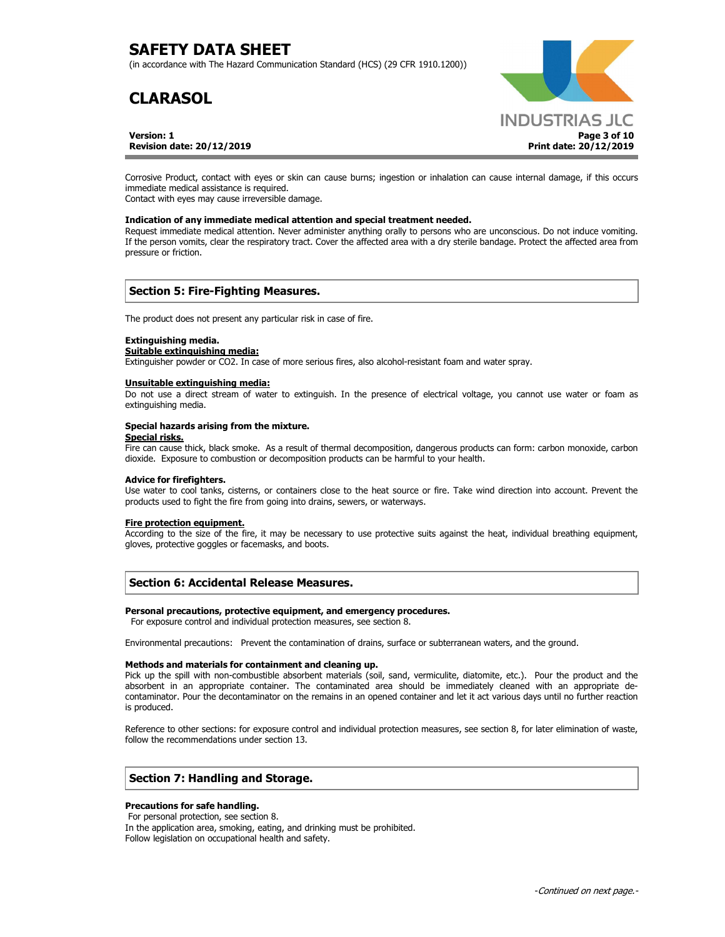(in accordance with The Hazard Communication Standard (HCS) (29 CFR 1910.1200))

# **CLARASOL**

**Version: 1 Revision date: 20/12/2019**



Corrosive Product, contact with eyes or skin can cause burns; ingestion or inhalation can cause internal damage, if this occurs immediate medical assistance is required.

Contact with eyes may cause irreversible damage.

## **Indication of any immediate medical attention and special treatment needed.**

Request immediate medical attention. Never administer anything orally to persons who are unconscious. Do not induce vomiting. If the person vomits, clear the respiratory tract. Cover the affected area with a dry sterile bandage. Protect the affected area from pressure or friction.

## **Section 5: Fire-Fighting Measures.**

The product does not present any particular risk in case of fire.

### **Extinguishing media.**

## **Suitable extinguishing media:**

Extinguisher powder or CO2. In case of more serious fires, also alcohol-resistant foam and water spray.

#### **Unsuitable extinguishing media:**

Do not use a direct stream of water to extinguish. In the presence of electrical voltage, you cannot use water or foam as extinguishing media.

### **Special hazards arising from the mixture.**

#### **Special risks.**

Fire can cause thick, black smoke. As a result of thermal decomposition, dangerous products can form: carbon monoxide, carbon dioxide. Exposure to combustion or decomposition products can be harmful to your health.

### **Advice for firefighters.**

Use water to cool tanks, cisterns, or containers close to the heat source or fire. Take wind direction into account. Prevent the products used to fight the fire from going into drains, sewers, or waterways.

### **Fire protection equipment.**

According to the size of the fire, it may be necessary to use protective suits against the heat, individual breathing equipment, gloves, protective goggles or facemasks, and boots.

## **Section 6: Accidental Release Measures.**

#### **Personal precautions, protective equipment, and emergency procedures.**

For exposure control and individual protection measures, see section 8.

Environmental precautions: Prevent the contamination of drains, surface or subterranean waters, and the ground.

### **Methods and materials for containment and cleaning up.**

Pick up the spill with non-combustible absorbent materials (soil, sand, vermiculite, diatomite, etc.). Pour the product and the absorbent in an appropriate container. The contaminated area should be immediately cleaned with an appropriate decontaminator. Pour the decontaminator on the remains in an opened container and let it act various days until no further reaction is produced.

Reference to other sections: for exposure control and individual protection measures, see section 8, for later elimination of waste, follow the recommendations under section 13.

## **Section 7: Handling and Storage.**

### **Precautions for safe handling.**

 For personal protection, see section 8. In the application area, smoking, eating, and drinking must be prohibited. Follow legislation on occupational health and safety.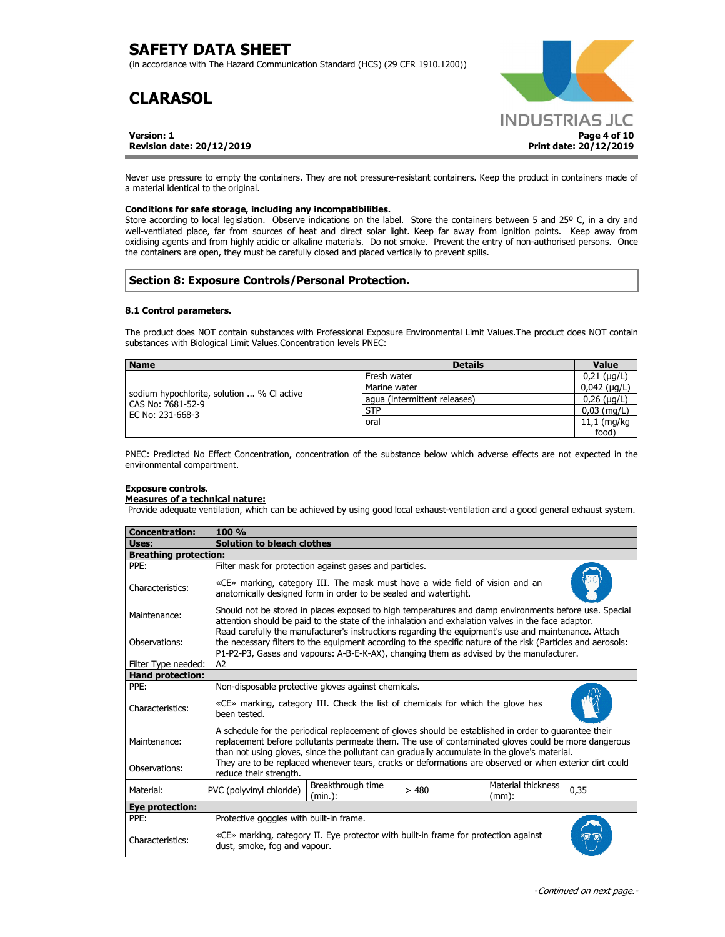(in accordance with The Hazard Communication Standard (HCS) (29 CFR 1910.1200))

# **CLARASOL**

**Version: 1 Revision date: 20/12/2019**



Never use pressure to empty the containers. They are not pressure-resistant containers. Keep the product in containers made of a material identical to the original.

## **Conditions for safe storage, including any incompatibilities.**

Store according to local legislation. Observe indications on the label. Store the containers between 5 and 25º C, in a dry and well-ventilated place, far from sources of heat and direct solar light. Keep far away from ignition points. Keep away from oxidising agents and from highly acidic or alkaline materials. Do not smoke. Prevent the entry of non-authorised persons. Once the containers are open, they must be carefully closed and placed vertically to prevent spills.

## **Section 8: Exposure Controls/Personal Protection.**

## **8.1 Control parameters.**

The product does NOT contain substances with Professional Exposure Environmental Limit Values.The product does NOT contain substances with Biological Limit Values.Concentration levels PNEC:

| <b>Name</b>                                                    | <b>Details</b>               | Value               |
|----------------------------------------------------------------|------------------------------|---------------------|
|                                                                | Fresh water                  | $0,21$ ( $\mu$ g/L) |
|                                                                | Marine water                 | $0,042$ (µg/L)      |
| sodium hypochlorite, solution  % C active<br>CAS No: 7681-52-9 | aqua (intermittent releases) | $0,26$ ( $\mu$ g/L) |
| EC No: 231-668-3                                               | <b>STP</b>                   | $0,03$ (mg/L)       |
|                                                                | oral                         | $11,1$ (mg/kg       |
|                                                                |                              | food'               |

PNEC: Predicted No Effect Concentration, concentration of the substance below which adverse effects are not expected in the environmental compartment.

### **Exposure controls.**

## **Measures of a technical nature:**

Provide adequate ventilation, which can be achieved by using good local exhaust-ventilation and a good general exhaust system.

| <b>Concentration:</b>                                                                                                                                                                                                                                                                                                                                                                                                                   | 100 %                                                                                                                                                                                                                                                                                                           |  |  |  |
|-----------------------------------------------------------------------------------------------------------------------------------------------------------------------------------------------------------------------------------------------------------------------------------------------------------------------------------------------------------------------------------------------------------------------------------------|-----------------------------------------------------------------------------------------------------------------------------------------------------------------------------------------------------------------------------------------------------------------------------------------------------------------|--|--|--|
| Uses:                                                                                                                                                                                                                                                                                                                                                                                                                                   | <b>Solution to bleach clothes</b>                                                                                                                                                                                                                                                                               |  |  |  |
| <b>Breathing protection:</b>                                                                                                                                                                                                                                                                                                                                                                                                            |                                                                                                                                                                                                                                                                                                                 |  |  |  |
| PPE:                                                                                                                                                                                                                                                                                                                                                                                                                                    | Filter mask for protection against gases and particles.                                                                                                                                                                                                                                                         |  |  |  |
| Characteristics:                                                                                                                                                                                                                                                                                                                                                                                                                        | «CE» marking, category III. The mask must have a wide field of vision and an<br>anatomically designed form in order to be sealed and watertight.                                                                                                                                                                |  |  |  |
| Maintenance:                                                                                                                                                                                                                                                                                                                                                                                                                            | Should not be stored in places exposed to high temperatures and damp environments before use. Special<br>attention should be paid to the state of the inhalation and exhalation valves in the face adaptor.                                                                                                     |  |  |  |
| Observations:                                                                                                                                                                                                                                                                                                                                                                                                                           | Read carefully the manufacturer's instructions regarding the equipment's use and maintenance. Attach<br>the necessary filters to the equipment according to the specific nature of the risk (Particles and aerosols:<br>P1-P2-P3, Gases and vapours: A-B-E-K-AX), changing them as advised by the manufacturer. |  |  |  |
| Filter Type needed:                                                                                                                                                                                                                                                                                                                                                                                                                     | A2                                                                                                                                                                                                                                                                                                              |  |  |  |
| <b>Hand protection:</b>                                                                                                                                                                                                                                                                                                                                                                                                                 |                                                                                                                                                                                                                                                                                                                 |  |  |  |
| PPE:                                                                                                                                                                                                                                                                                                                                                                                                                                    | Non-disposable protective gloves against chemicals.                                                                                                                                                                                                                                                             |  |  |  |
| Characteristics:                                                                                                                                                                                                                                                                                                                                                                                                                        | «CE» marking, category III. Check the list of chemicals for which the glove has<br>been tested.                                                                                                                                                                                                                 |  |  |  |
| A schedule for the periodical replacement of gloves should be established in order to guarantee their<br>replacement before pollutants permeate them. The use of contaminated gloves could be more dangerous<br>Maintenance:<br>than not using gloves, since the pollutant can gradually accumulate in the glove's material.<br>They are to be replaced whenever tears, cracks or deformations are observed or when exterior dirt could |                                                                                                                                                                                                                                                                                                                 |  |  |  |
| Observations:                                                                                                                                                                                                                                                                                                                                                                                                                           | reduce their strength.                                                                                                                                                                                                                                                                                          |  |  |  |
| Material:                                                                                                                                                                                                                                                                                                                                                                                                                               | Breakthrough time<br>Material thickness<br>PVC (polyvinyl chloride)<br>>480<br>0,35<br>(min.):<br>(mm):                                                                                                                                                                                                         |  |  |  |
| Eye protection:                                                                                                                                                                                                                                                                                                                                                                                                                         |                                                                                                                                                                                                                                                                                                                 |  |  |  |
| PPE:                                                                                                                                                                                                                                                                                                                                                                                                                                    | Protective goggles with built-in frame.                                                                                                                                                                                                                                                                         |  |  |  |
| Characteristics:                                                                                                                                                                                                                                                                                                                                                                                                                        | «CE» marking, category II. Eye protector with built-in frame for protection against<br>dust, smoke, fog and vapour.                                                                                                                                                                                             |  |  |  |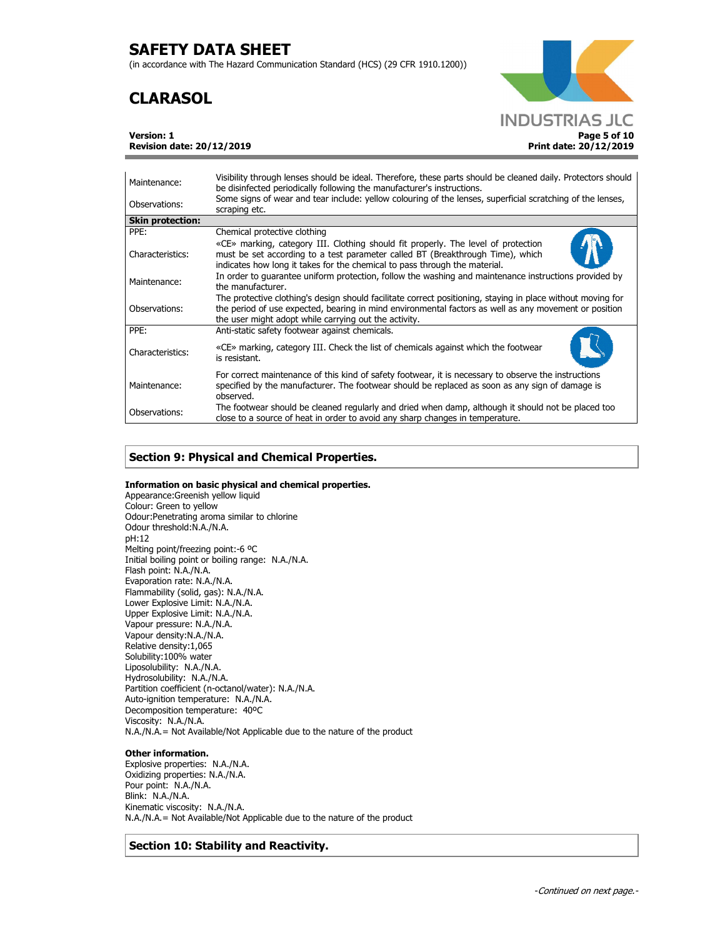(in accordance with The Hazard Communication Standard (HCS) (29 CFR 1910.1200))

# **CLARASOL**



**Version: 1** 

**Revision date: 20/12/2019**

| Maintenance:            | Visibility through lenses should be ideal. Therefore, these parts should be cleaned daily. Protectors should<br>be disinfected periodically following the manufacturer's instructions.                                                                                        |
|-------------------------|-------------------------------------------------------------------------------------------------------------------------------------------------------------------------------------------------------------------------------------------------------------------------------|
| Observations:           | Some signs of wear and tear include: yellow colouring of the lenses, superficial scratching of the lenses,<br>scraping etc.                                                                                                                                                   |
| <b>Skin protection:</b> |                                                                                                                                                                                                                                                                               |
| PPE:                    | Chemical protective clothing                                                                                                                                                                                                                                                  |
| Characteristics:        | «CE» marking, category III. Clothing should fit properly. The level of protection<br>must be set according to a test parameter called BT (Breakthrough Time), which<br>indicates how long it takes for the chemical to pass through the material.                             |
| Maintenance:            | In order to quarantee uniform protection, follow the washing and maintenance instructions provided by<br>the manufacturer.                                                                                                                                                    |
| Observations:           | The protective clothing's design should facilitate correct positioning, staying in place without moving for<br>the period of use expected, bearing in mind environmental factors as well as any movement or position<br>the user might adopt while carrying out the activity. |
| PPE:                    | Anti-static safety footwear against chemicals.                                                                                                                                                                                                                                |
| Characteristics:        | «CE» marking, category III. Check the list of chemicals against which the footwear<br>is resistant.                                                                                                                                                                           |
| Maintenance:            | For correct maintenance of this kind of safety footwear, it is necessary to observe the instructions<br>specified by the manufacturer. The footwear should be replaced as soon as any sign of damage is<br>observed.                                                          |
| Observations:           | The footwear should be cleaned regularly and dried when damp, although it should not be placed too<br>close to a source of heat in order to avoid any sharp changes in temperature.                                                                                           |

## **Section 9: Physical and Chemical Properties.**

## **Information on basic physical and chemical properties.**

Appearance:Greenish yellow liquid Colour: Green to yellow Odour:Penetrating aroma similar to chlorine Odour threshold:N.A./N.A. pH:12 Melting point/freezing point:-6 ºC Initial boiling point or boiling range: N.A./N.A. Flash point: N.A./N.A. Evaporation rate: N.A./N.A. Flammability (solid, gas): N.A./N.A. Lower Explosive Limit: N.A./N.A. Upper Explosive Limit: N.A./N.A. Vapour pressure: N.A./N.A. Vapour density:N.A./N.A. Relative density:1,065 Solubility:100% water Liposolubility: N.A./N.A. Hydrosolubility: N.A./N.A. Partition coefficient (n-octanol/water): N.A./N.A. Auto-ignition temperature: N.A./N.A. Decomposition temperature: 40ºC Viscosity: N.A./N.A. N.A./N.A.= Not Available/Not Applicable due to the nature of the product

## **Other information.**

Explosive properties: N.A./N.A. Oxidizing properties: N.A./N.A. Pour point: N.A./N.A. Blink: N.A./N.A. Kinematic viscosity: N.A./N.A. N.A./N.A.= Not Available/Not Applicable due to the nature of the product

**Section 10: Stability and Reactivity.**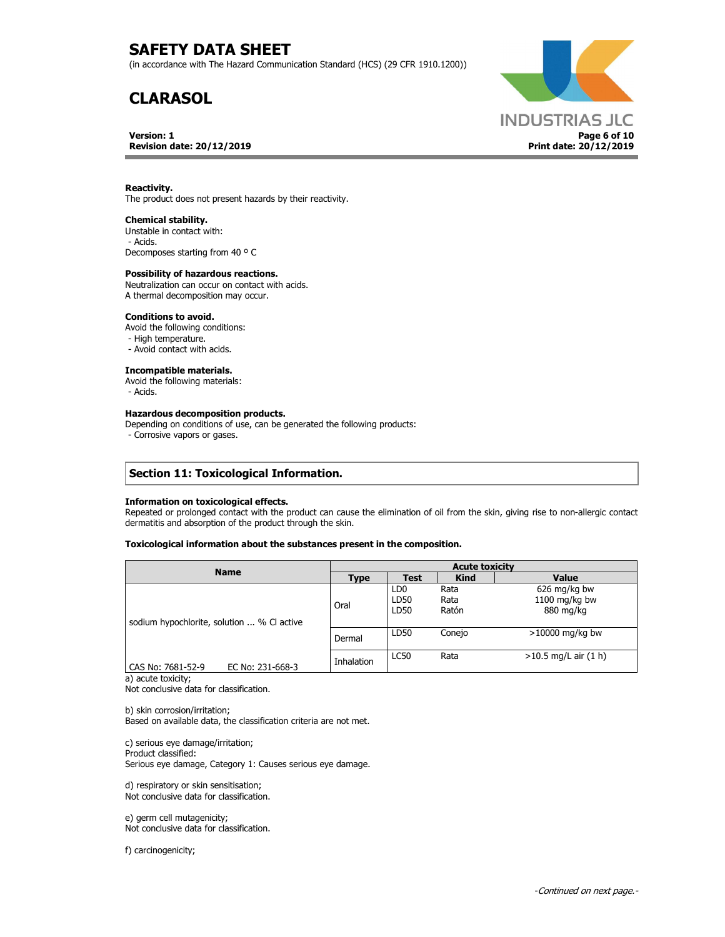(in accordance with The Hazard Communication Standard (HCS) (29 CFR 1910.1200))

# **CLARASOL**

### **Version: 1 Revision date: 20/12/2019**



### **Reactivity.**

The product does not present hazards by their reactivity.

#### **Chemical stability.**

Unstable in contact with: - Acids. Decomposes starting from 40 º C

#### **Possibility of hazardous reactions.**

Neutralization can occur on contact with acids. A thermal decomposition may occur.

## **Conditions to avoid.**

Avoid the following conditions:

- High temperature.
- Avoid contact with acids.

## **Incompatible materials.**

Avoid the following materials:

- Acids.

#### **Hazardous decomposition products.**

Depending on conditions of use, can be generated the following products:

- Corrosive vapors or gases.

## **Section 11: Toxicological Information.**

#### **Information on toxicological effects.**

Repeated or prolonged contact with the product can cause the elimination of oil from the skin, giving rise to non-allergic contact dermatitis and absorption of the product through the skin.

### **Toxicological information about the substances present in the composition.**

| <b>Name</b>                               | <b>Acute toxicity</b> |                                 |                       |                                            |
|-------------------------------------------|-----------------------|---------------------------------|-----------------------|--------------------------------------------|
|                                           | Type                  | <b>Test</b>                     | <b>Kind</b>           | <b>Value</b>                               |
| sodium hypochlorite, solution  % C active | Oral                  | LD <sub>0</sub><br>LD50<br>LD50 | Rata<br>Rata<br>Ratón | 626 mg/kg bw<br>1100 mg/kg bw<br>880 mg/kg |
|                                           | Dermal                | LD50                            | Conejo                | $>10000$ mg/kg bw                          |
| CAS No: 7681-52-9<br>EC No: 231-668-3     | Inhalation            | <b>LC50</b>                     | Rata                  | $>10.5$ mg/L air $(1 h)$                   |

a) acute toxicity;

Not conclusive data for classification.

b) skin corrosion/irritation; Based on available data, the classification criteria are not met.

c) serious eye damage/irritation; Product classified: Serious eye damage, Category 1: Causes serious eye damage.

d) respiratory or skin sensitisation; Not conclusive data for classification.

e) germ cell mutagenicity; Not conclusive data for classification.

f) carcinogenicity;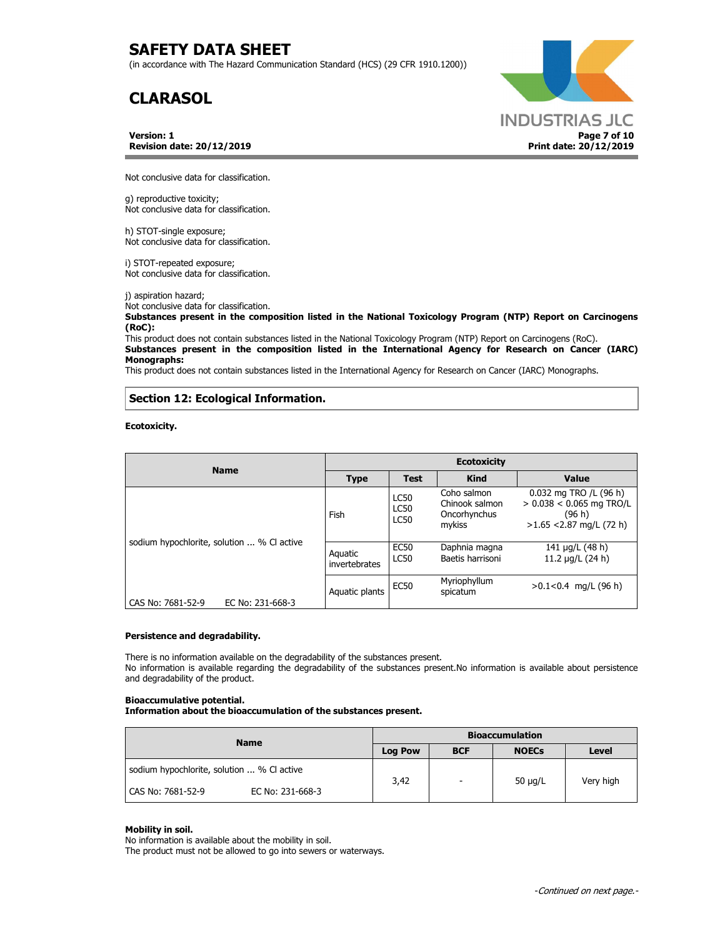(in accordance with The Hazard Communication Standard (HCS) (29 CFR 1910.1200))

# **CLARASOL**

**Version: 1 Revision date: 20/12/2019**



Not conclusive data for classification.

g) reproductive toxicity; Not conclusive data for classification.

h) STOT-single exposure; Not conclusive data for classification.

i) STOT-repeated exposure; Not conclusive data for classification.

j) aspiration hazard; Not conclusive data for classification.

**Substances present in the composition listed in the National Toxicology Program (NTP) Report on Carcinogens (RoC):** 

This product does not contain substances listed in the National Toxicology Program (NTP) Report on Carcinogens (RoC). **Substances present in the composition listed in the International Agency for Research on Cancer (IARC) Monographs:** 

This product does not contain substances listed in the International Agency for Research on Cancer (IARC) Monographs.

## **Section 12: Ecological Information.**

**Ecotoxicity.** 

| <b>Name</b>                               | <b>Ecotoxicity</b>       |                                           |                                                         |                                                                                              |  |
|-------------------------------------------|--------------------------|-------------------------------------------|---------------------------------------------------------|----------------------------------------------------------------------------------------------|--|
|                                           | <b>Type</b>              | <b>Test</b>                               | <b>Kind</b>                                             | Value                                                                                        |  |
|                                           | Fish                     | <b>LC50</b><br><b>LC50</b><br><b>LC50</b> | Coho salmon<br>Chinook salmon<br>Oncorhynchus<br>mykiss | 0.032 mg TRO /L (96 h)<br>$> 0.038 < 0.065$ mg TRO/L<br>(96 h)<br>$>1.65$ < 2.87 mg/L (72 h) |  |
| sodium hypochlorite, solution  % C active | Aquatic<br>invertebrates | <b>EC50</b><br><b>LC50</b>                | Daphnia magna<br>Baetis harrisoni                       | 141 µg/L (48 h)<br>11.2 $\mu$ g/L (24 h)                                                     |  |
| CAS No: 7681-52-9<br>EC No: 231-668-3     | Aquatic plants           | <b>EC50</b>                               | Myriophyllum<br>spicatum                                | $>0.1<0.4$ mg/L (96 h)                                                                       |  |

## **Persistence and degradability.**

There is no information available on the degradability of the substances present. No information is available regarding the degradability of the substances present.No information is available about persistence and degradability of the product.

## **Bioaccumulative potential.**

**Information about the bioaccumulation of the substances present.**

| <b>Name</b>                               | <b>Bioaccumulation</b> |                          |              |           |
|-------------------------------------------|------------------------|--------------------------|--------------|-----------|
|                                           | <b>Log Pow</b>         | <b>BCF</b>               | <b>NOECs</b> | Level     |
| sodium hypochlorite, solution  % C active | 3,42                   | $\overline{\phantom{a}}$ | 50 $\mu$ g/L | Very high |
| CAS No: 7681-52-9<br>EC No: 231-668-3     |                        |                          |              |           |

### **Mobility in soil.**

No information is available about the mobility in soil. The product must not be allowed to go into sewers or waterways.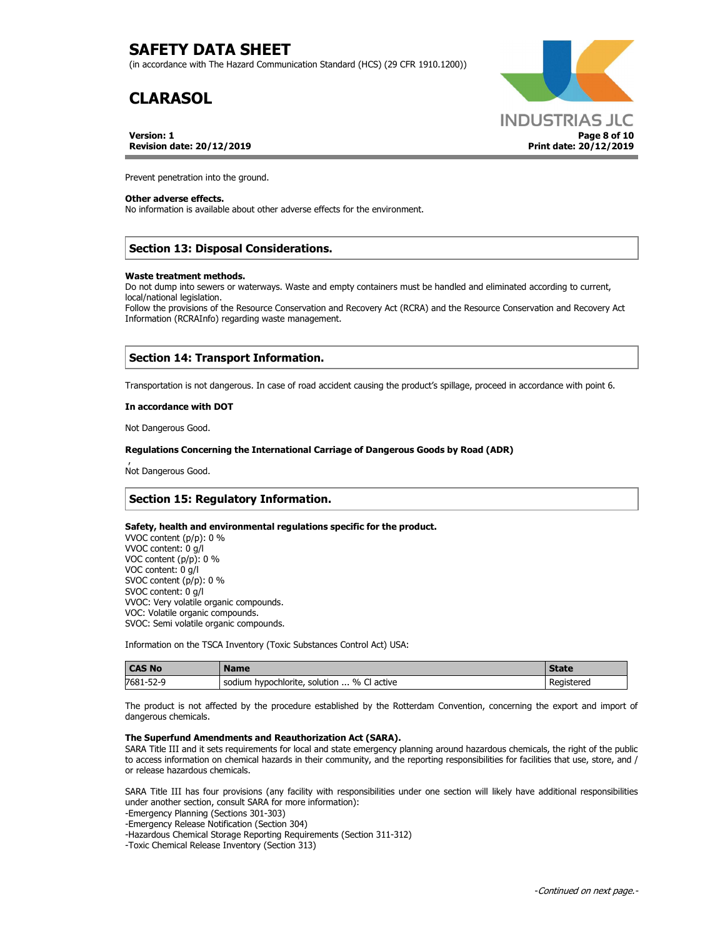(in accordance with The Hazard Communication Standard (HCS) (29 CFR 1910.1200))

# **CLARASOL**

**Version: 1 Revision date: 20/12/2019**



Prevent penetration into the ground.

## **Other adverse effects.**

No information is available about other adverse effects for the environment.

## **Section 13: Disposal Considerations.**

### **Waste treatment methods.**

Do not dump into sewers or waterways. Waste and empty containers must be handled and eliminated according to current, local/national legislation.

Follow the provisions of the Resource Conservation and Recovery Act (RCRA) and the Resource Conservation and Recovery Act Information (RCRAInfo) regarding waste management.

## **Section 14: Transport Information.**

Transportation is not dangerous. In case of road accident causing the product's spillage, proceed in accordance with point 6.

#### **In accordance with DOT**

Not Dangerous Good.

#### **Regulations Concerning the International Carriage of Dangerous Goods by Road (ADR)**

 , Not Dangerous Good.

## **Section 15: Regulatory Information.**

### **Safety, health and environmental regulations specific for the product.**

VVOC content (p/p): 0 % VVOC content: 0 g/l VOC content (p/p): 0 % VOC content: 0 g/l SVOC content (p/p): 0 % SVOC content: 0 g/l VVOC: Very volatile organic compounds. VOC: Volatile organic compounds. SVOC: Semi volatile organic compounds.

Information on the TSCA Inventory (Toxic Substances Control Act) USA:

| <b>CAS No</b> | <b>Name</b>                                  | <b>State</b> |
|---------------|----------------------------------------------|--------------|
| 7681-52-9     | % Cl active<br>sodium hypochlorite, solution | Registered   |

The product is not affected by the procedure established by the Rotterdam Convention, concerning the export and import of dangerous chemicals.

### **The Superfund Amendments and Reauthorization Act (SARA).**

SARA Title III and it sets requirements for local and state emergency planning around hazardous chemicals, the right of the public to access information on chemical hazards in their community, and the reporting responsibilities for facilities that use, store, and / or release hazardous chemicals.

SARA Title III has four provisions (any facility with responsibilities under one section will likely have additional responsibilities under another section, consult SARA for more information):

-Emergency Planning (Sections 301-303)

-Emergency Release Notification (Section 304)

-Hazardous Chemical Storage Reporting Requirements (Section 311-312)

-Toxic Chemical Release Inventory (Section 313)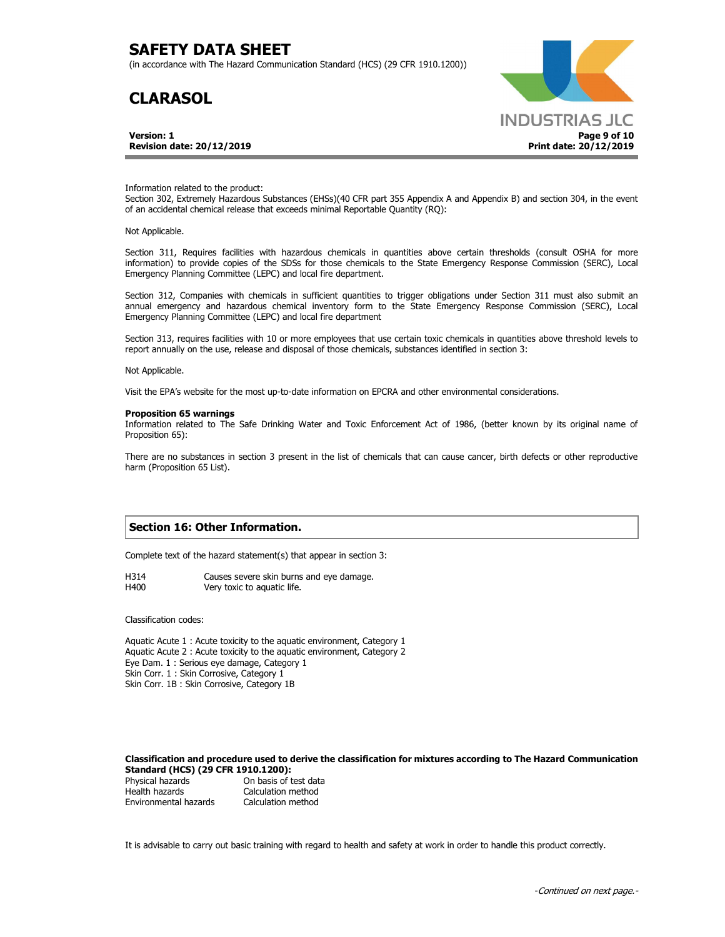(in accordance with The Hazard Communication Standard (HCS) (29 CFR 1910.1200))

## **CLARASOL**

**Version: 1 Revision date: 20/12/2019**



Information related to the product:

Section 302, Extremely Hazardous Substances (EHSs)(40 CFR part 355 Appendix A and Appendix B) and section 304, in the event of an accidental chemical release that exceeds minimal Reportable Quantity (RQ):

Not Applicable.

Section 311, Requires facilities with hazardous chemicals in quantities above certain thresholds (consult OSHA for more information) to provide copies of the SDSs for those chemicals to the State Emergency Response Commission (SERC), Local Emergency Planning Committee (LEPC) and local fire department.

Section 312, Companies with chemicals in sufficient quantities to trigger obligations under Section 311 must also submit an annual emergency and hazardous chemical inventory form to the State Emergency Response Commission (SERC), Local Emergency Planning Committee (LEPC) and local fire department

Section 313, requires facilities with 10 or more employees that use certain toxic chemicals in quantities above threshold levels to report annually on the use, release and disposal of those chemicals, substances identified in section 3:

Not Applicable.

Visit the EPA's website for the most up-to-date information on EPCRA and other environmental considerations.

#### **Proposition 65 warnings**

Information related to The Safe Drinking Water and Toxic Enforcement Act of 1986, (better known by its original name of Proposition 65):

There are no substances in section 3 present in the list of chemicals that can cause cancer, birth defects or other reproductive harm (Proposition 65 List).

## **Section 16: Other Information.**

Complete text of the hazard statement(s) that appear in section 3:

H314 Causes severe skin burns and eye damage. H400 Very toxic to aquatic life.

Classification codes:

Aquatic Acute 1 : Acute toxicity to the aquatic environment, Category 1 Aquatic Acute 2 : Acute toxicity to the aquatic environment, Category 2 Eye Dam. 1 : Serious eye damage, Category 1 Skin Corr. 1 : Skin Corrosive, Category 1 Skin Corr. 1B : Skin Corrosive, Category 1B

### **Classification and procedure used to derive the classification for mixtures according to The Hazard Communication Standard (HCS) (29 CFR 1910.1200):**

Physical hazards On basis of test data Health hazards Calculation method Environmental hazards Calculation method

It is advisable to carry out basic training with regard to health and safety at work in order to handle this product correctly.